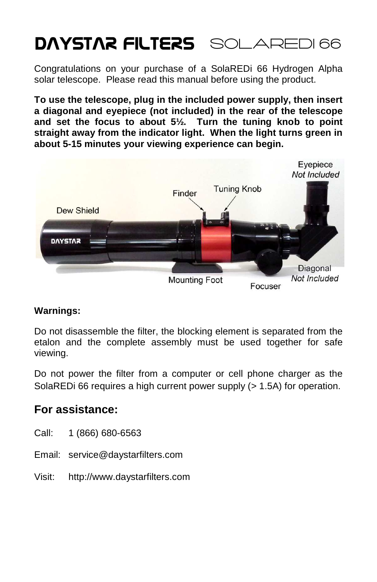# DAYSTAR FILTERS SOLAREDI 66

Congratulations on your purchase of a SolaREDi 66 Hydrogen Alpha solar telescope. Please read this manual before using the product.

**To use the telescope, plug in the included power supply, then insert a diagonal and eyepiece (not included) in the rear of the telescope and set the focus to about 5½. Turn the tuning knob to point straight away from the indicator light. When the light turns green in about 5-15 minutes your viewing experience can begin.** 



#### **Warnings:**

Do not disassemble the filter, the blocking element is separated from the etalon and the complete assembly must be used together for safe viewing.

Do not power the filter from a computer or cell phone charger as the SolaREDi 66 requires a high current power supply (> 1.5A) for operation.

### **For assistance:**

- Call: 1 (866) 680-6563
- Email: service@daystarfilters.com
- Visit: http://www.daystarfilters.com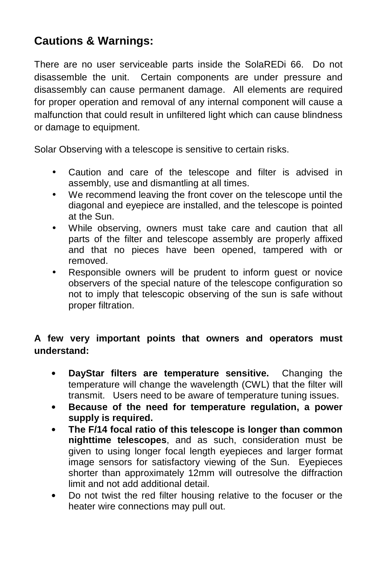## **Cautions & Warnings:**

There are no user serviceable parts inside the SolaREDi 66. Do not disassemble the unit. Certain components are under pressure and disassembly can cause permanent damage. All elements are required for proper operation and removal of any internal component will cause a malfunction that could result in unfiltered light which can cause blindness or damage to equipment.

Solar Observing with a telescope is sensitive to certain risks.

- Caution and care of the telescope and filter is advised in assembly, use and dismantling at all times.
- We recommend leaving the front cover on the telescope until the diagonal and eyepiece are installed, and the telescope is pointed at the Sun.
- While observing, owners must take care and caution that all parts of the filter and telescope assembly are properly affixed and that no pieces have been opened, tampered with or removed.
- Responsible owners will be prudent to inform quest or novice observers of the special nature of the telescope configuration so not to imply that telescopic observing of the sun is safe without proper filtration.

#### **A few very important points that owners and operators must understand:**

- **DayStar filters are temperature sensitive.** Changing the temperature will change the wavelength (CWL) that the filter will transmit. Users need to be aware of temperature tuning issues.
- **Because of the need for temperature regulation, a power supply is required.**
- **The F/14 focal ratio of this telescope is longer than common nighttime telescopes**, and as such, consideration must be given to using longer focal length eyepieces and larger format image sensors for satisfactory viewing of the Sun. Eyepieces shorter than approximately 12mm will outresolve the diffraction limit and not add additional detail.
- Do not twist the red filter housing relative to the focuser or the heater wire connections may pull out.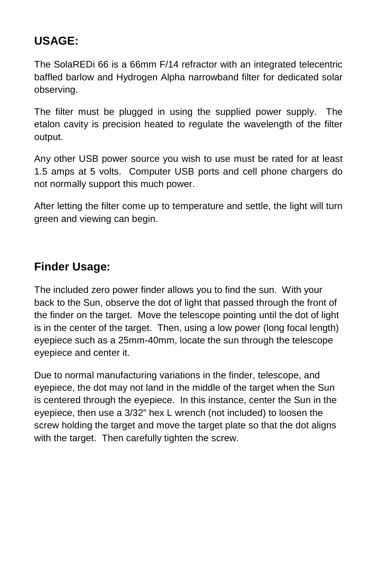## **USAGE:**

The SolaREDi 66 is a 66mm F/14 refractor with an integrated telecentric baffled barlow and Hydrogen Alpha narrowband filter for dedicated solar observing.

The filter must be plugged in using the supplied power supply. The etalon cavity is precision heated to regulate the wavelength of the filter output.

Any other USB power source you wish to use must be rated for at least 1.5 amps at 5 volts. Computer USB ports and cell phone chargers do not normally support this much power.

After letting the filter come up to temperature and settle, the light will turn green and viewing can begin.

## **Finder Usage:**

The included zero power finder allows you to find the sun. With your back to the Sun, observe the dot of light that passed through the front of the finder on the target. Move the telescope pointing until the dot of light is in the center of the target. Then, using a low power (long focal length) eyepiece such as a 25mm-40mm, locate the sun through the telescope eyepiece and center it.

Due to normal manufacturing variations in the finder, telescope, and eyepiece, the dot may not land in the middle of the target when the Sun is centered through the eyepiece. In this instance, center the Sun in the eyepiece, then use a 3/32" hex L wrench (not included) to loosen the screw holding the target and move the target plate so that the dot aligns with the target. Then carefully tighten the screw.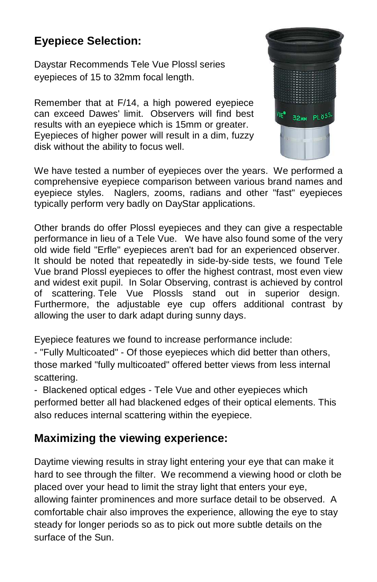# **Eyepiece Selection:**

Daystar Recommends Tele Vue Plossl series eyepieces of 15 to 32mm focal length.

Remember that at F/14, a high powered eyepiece can exceed Dawes' limit. Observers will find best results with an eyepiece which is 15mm or greater. Eyepieces of higher power will result in a dim, fuzzy disk without the ability to focus well.



We have tested a number of eyepieces over the years. We performed a comprehensive eyepiece comparison between various brand names and eyepiece styles. Naglers, zooms, radians and other "fast" eyepieces typically perform very badly on DayStar applications.

Other brands do offer Plossl eyepieces and they can give a respectable performance in lieu of a Tele Vue. We have also found some of the very old wide field "Erfle" eyepieces aren't bad for an experienced observer. It should be noted that repeatedly in side-by-side tests, we found Tele Vue brand Plossl eyepieces to offer the highest contrast, most even view and widest exit pupil. In Solar Observing, contrast is achieved by control of scattering. Tele Vue Plossls stand out in superior design. Furthermore, the adjustable eye cup offers additional contrast by allowing the user to dark adapt during sunny days.

Eyepiece features we found to increase performance include:

- "Fully Multicoated" - Of those eyepieces which did better than others, those marked "fully multicoated" offered better views from less internal scattering.

- Blackened optical edges - Tele Vue and other eyepieces which performed better all had blackened edges of their optical elements. This also reduces internal scattering within the eyepiece.

# **Maximizing the viewing experience:**

Daytime viewing results in stray light entering your eye that can make it hard to see through the filter. We recommend a viewing hood or cloth be placed over your head to limit the stray light that enters your eye, allowing fainter prominences and more surface detail to be observed. A comfortable chair also improves the experience, allowing the eye to stay steady for longer periods so as to pick out more subtle details on the surface of the Sun.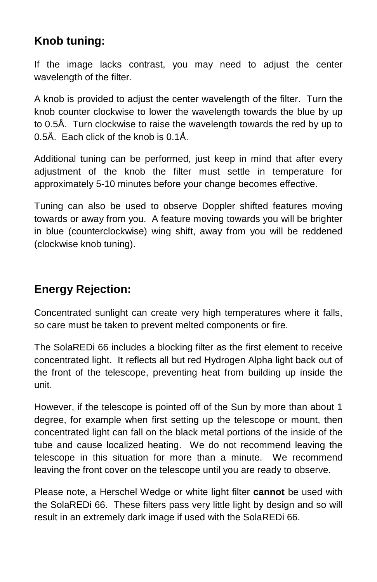### **Knob tuning:**

If the image lacks contrast, you may need to adjust the center wavelength of the filter.

A knob is provided to adjust the center wavelength of the filter. Turn the knob counter clockwise to lower the wavelength towards the blue by up to 0.5Å. Turn clockwise to raise the wavelength towards the red by up to 0.5Å. Each click of the knob is 0.1Å.

Additional tuning can be performed, just keep in mind that after every adjustment of the knob the filter must settle in temperature for approximately 5-10 minutes before your change becomes effective.

Tuning can also be used to observe Doppler shifted features moving towards or away from you. A feature moving towards you will be brighter in blue (counterclockwise) wing shift, away from you will be reddened (clockwise knob tuning).

# **Energy Rejection:**

Concentrated sunlight can create very high temperatures where it falls, so care must be taken to prevent melted components or fire.

The SolaREDi 66 includes a blocking filter as the first element to receive concentrated light. It reflects all but red Hydrogen Alpha light back out of the front of the telescope, preventing heat from building up inside the unit.

However, if the telescope is pointed off of the Sun by more than about 1 degree, for example when first setting up the telescope or mount, then concentrated light can fall on the black metal portions of the inside of the tube and cause localized heating. We do not recommend leaving the telescope in this situation for more than a minute. We recommend leaving the front cover on the telescope until you are ready to observe.

Please note, a Herschel Wedge or white light filter **cannot** be used with the SolaREDi 66. These filters pass very little light by design and so will result in an extremely dark image if used with the SolaREDi 66.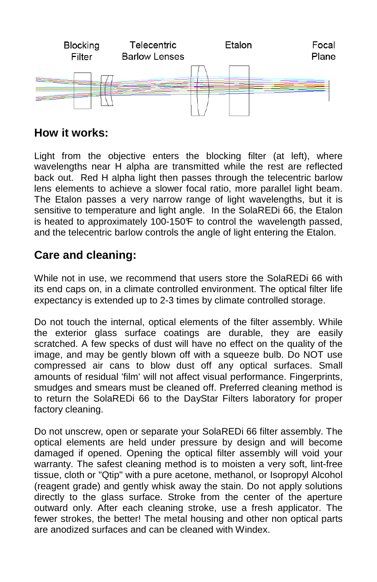

### **How it works:**

Light from the objective enters the blocking filter (at left), where wavelengths near H alpha are transmitted while the rest are reflected back out. Red H alpha light then passes through the telecentric barlow lens elements to achieve a slower focal ratio, more parallel light beam. The Etalon passes a very narrow range of light wavelengths, but it is sensitive to temperature and light angle. In the SolaREDi 66, the Etalon is heated to approximately 100-150F to control the wavelength passed, and the telecentric barlow controls the angle of light entering the Etalon.

## **Care and cleaning:**

While not in use, we recommend that users store the SolaREDi 66 with its end caps on, in a climate controlled environment. The optical filter life expectancy is extended up to 2-3 times by climate controlled storage.

Do not touch the internal, optical elements of the filter assembly. While the exterior glass surface coatings are durable, they are easily scratched. A few specks of dust will have no effect on the quality of the image, and may be gently blown off with a squeeze bulb. Do NOT use compressed air cans to blow dust off any optical surfaces. Small amounts of residual 'film' will not affect visual performance. Fingerprints, smudges and smears must be cleaned off. Preferred cleaning method is to return the SolaREDi 66 to the DayStar Filters laboratory for proper factory cleaning.

Do not unscrew, open or separate your SolaREDi 66 filter assembly. The optical elements are held under pressure by design and will become damaged if opened. Opening the optical filter assembly will void your warranty. The safest cleaning method is to moisten a very soft, lint-free tissue, cloth or "Qtip" with a pure acetone, methanol, or Isopropyl Alcohol (reagent grade) and gently whisk away the stain. Do not apply solutions directly to the glass surface. Stroke from the center of the aperture outward only. After each cleaning stroke, use a fresh applicator. The fewer strokes, the better! The metal housing and other non optical parts are anodized surfaces and can be cleaned with Windex.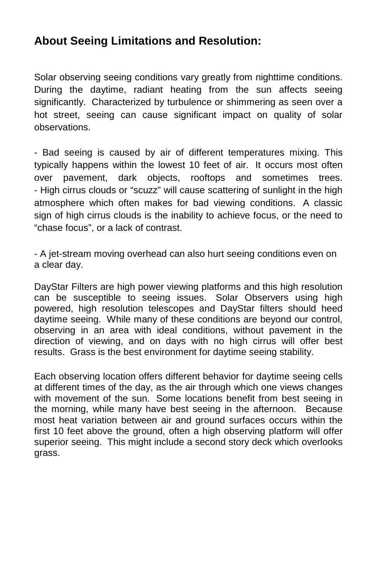### **About Seeing Limitations and Resolution:**

Solar observing seeing conditions vary greatly from nighttime conditions. During the daytime, radiant heating from the sun affects seeing significantly. Characterized by turbulence or shimmering as seen over a hot street, seeing can cause significant impact on quality of solar observations.

- Bad seeing is caused by air of different temperatures mixing. This typically happens within the lowest 10 feet of air. It occurs most often over pavement, dark objects, rooftops and sometimes trees. - High cirrus clouds or "scuzz" will cause scattering of sunlight in the high atmosphere which often makes for bad viewing conditions. A classic sign of high cirrus clouds is the inability to achieve focus, or the need to "chase focus", or a lack of contrast.

- A jet-stream moving overhead can also hurt seeing conditions even on a clear day.

DayStar Filters are high power viewing platforms and this high resolution can be susceptible to seeing issues. Solar Observers using high powered, high resolution telescopes and DayStar filters should heed daytime seeing. While many of these conditions are beyond our control, observing in an area with ideal conditions, without pavement in the direction of viewing, and on days with no high cirrus will offer best results. Grass is the best environment for daytime seeing stability.

Each observing location offers different behavior for daytime seeing cells at different times of the day, as the air through which one views changes with movement of the sun. Some locations benefit from best seeing in the morning, while many have best seeing in the afternoon. Because most heat variation between air and ground surfaces occurs within the first 10 feet above the ground, often a high observing platform will offer superior seeing. This might include a second story deck which overlooks grass.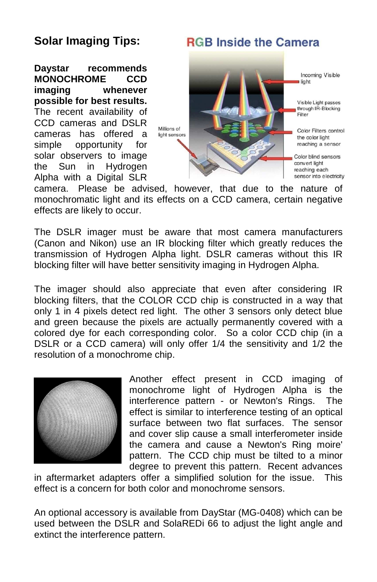### **Solar Imaging Tips:**

**Daystar recommends MONOCHROME CCD imaging whenever possible for best results.** The recent availability of CCD cameras and DSLR cameras has offered a simple opportunity for solar observers to image the Sun in Hydrogen Alpha with a Digital SLR

# **RGB Inside the Camera**



camera. Please be advised, however, that due to the nature of monochromatic light and its effects on a CCD camera, certain negative effects are likely to occur.

The DSLR imager must be aware that most camera manufacturers (Canon and Nikon) use an IR blocking filter which greatly reduces the transmission of Hydrogen Alpha light. DSLR cameras without this IR blocking filter will have better sensitivity imaging in Hydrogen Alpha.

The imager should also appreciate that even after considering IR blocking filters, that the COLOR CCD chip is constructed in a way that only 1 in 4 pixels detect red light. The other 3 sensors only detect blue and green because the pixels are actually permanently covered with a colored dye for each corresponding color. So a color CCD chip (in a DSLR or a CCD camera) will only offer 1/4 the sensitivity and 1/2 the resolution of a monochrome chip.



Another effect present in CCD imaging of monochrome light of Hydrogen Alpha is the interference pattern - or Newton's Rings. The effect is similar to interference testing of an optical surface between two flat surfaces. The sensor and cover slip cause a small interferometer inside the camera and cause a Newton's Ring moire' pattern. The CCD chip must be tilted to a minor degree to prevent this pattern. Recent advances

in aftermarket adapters offer a simplified solution for the issue. This effect is a concern for both color and monochrome sensors.

An optional accessory is available from DayStar (MG-0408) which can be used between the DSLR and SolaREDi 66 to adjust the light angle and extinct the interference pattern.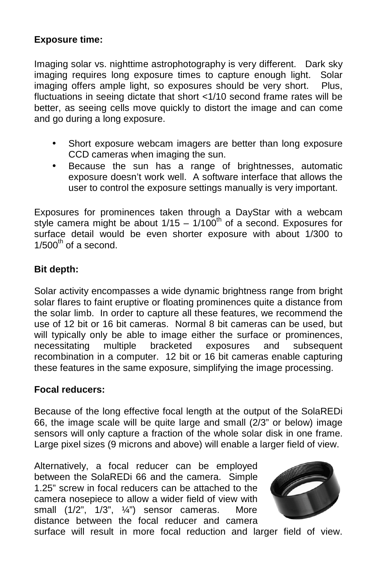#### **Exposure time:**

Imaging solar vs. nighttime astrophotography is very different. Dark sky imaging requires long exposure times to capture enough light. Solar imaging offers ample light, so exposures should be very short. Plus, fluctuations in seeing dictate that short <1/10 second frame rates will be better, as seeing cells move quickly to distort the image and can come and go during a long exposure.

- Short exposure webcam imagers are better than long exposure CCD cameras when imaging the sun.
- Because the sun has a range of brightnesses, automatic exposure doesn't work well. A software interface that allows the user to control the exposure settings manually is very important.

Exposures for prominences taken through a DayStar with a webcam style camera might be about  $1/15 - 1/100<sup>th</sup>$  of a second. Exposures for surface detail would be even shorter exposure with about 1/300 to  $1/500^{th}$  of a second.

#### **Bit depth:**

Solar activity encompasses a wide dynamic brightness range from bright solar flares to faint eruptive or floating prominences quite a distance from the solar limb. In order to capture all these features, we recommend the use of 12 bit or 16 bit cameras. Normal 8 bit cameras can be used, but will typically only be able to image either the surface or prominences, necessitating multiple bracketed exposures and subsequent recombination in a computer. 12 bit or 16 bit cameras enable capturing these features in the same exposure, simplifying the image processing.

#### **Focal reducers:**

Because of the long effective focal length at the output of the SolaREDi 66, the image scale will be quite large and small (2/3" or below) image sensors will only capture a fraction of the whole solar disk in one frame. Large pixel sizes (9 microns and above) will enable a larger field of view.

Alternatively, a focal reducer can be employed between the SolaREDi 66 and the camera. Simple 1.25" screw in focal reducers can be attached to the camera nosepiece to allow a wider field of view with small (1/2", 1/3", 1/3") sensor cameras. More distance between the focal reducer and camera



surface will result in more focal reduction and larger field of view.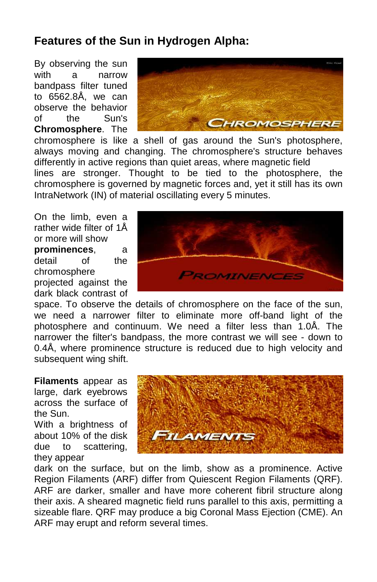### **Features of the Sun in Hydrogen Alpha:**

By observing the sun with a narrow bandpass filter tuned to 6562.8Å, we can observe the behavior of the Sun's **Chromosphere**. The



chromosphere is like a shell of gas around the Sun's photosphere, always moving and changing. The chromosphere's structure behaves differently in active regions than quiet areas, where magnetic field lines are stronger. Thought to be tied to the photosphere, the chromosphere is governed by magnetic forces and, yet it still has its own IntraNetwork (IN) of material oscillating every 5 minutes.

On the limb, even a rather wide filter of 1Å or more will show

**prominences**, a detail of the chromosphere projected against the dark black contrast of ROMINENCE

space. To observe the details of chromosphere on the face of the sun, we need a narrower filter to eliminate more off-band light of the photosphere and continuum. We need a filter less than 1.0Å. The narrower the filter's bandpass, the more contrast we will see - down to 0.4Å, where prominence structure is reduced due to high velocity and subsequent wing shift.

**Filaments** appear as large, dark eyebrows across the surface of the Sun.

With a brightness of about 10% of the disk due to scattering, they appear



dark on the surface, but on the limb, show as a prominence. Active Region Filaments (ARF) differ from Quiescent Region Filaments (QRF). ARF are darker, smaller and have more coherent fibril structure along their axis. A sheared magnetic field runs parallel to this axis, permitting a sizeable flare. QRF may produce a big Coronal Mass Ejection (CME). An ARF may erupt and reform several times.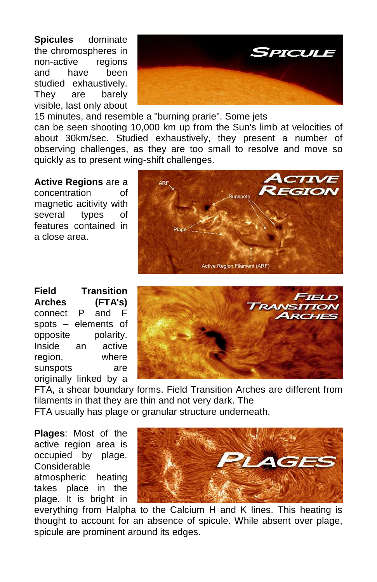**Spicules** dominate the chromospheres in non-active regions and have been studied exhaustively. They are barely visible, last only about



15 minutes, and resemble a "burning prarie". Some jets can be seen shooting 10,000 km up from the Sun's limb at velocities of about 30km/sec. Studied exhaustively, they present a number of observing challenges, as they are too small to resolve and move so quickly as to present wing-shift challenges.

**Active Regions** are a concentration of magnetic acitivity with several types of features contained in a close area.



**Field Transition Arches (FTA's)**  connect P and F spots – elements of opposite polarity. Inside an active region, where sunspots are originally linked by a



FTA, a shear boundary forms. Field Transition Arches are different from filaments in that they are thin and not very dark. The FTA usually has plage or granular structure underneath.

**Plages**: Most of the active region area is occupied by plage. Considerable atmospheric heating takes place in the plage. It is bright in



everything from Halpha to the Calcium H and K lines. This heating is thought to account for an absence of spicule. While absent over plage, spicule are prominent around its edges.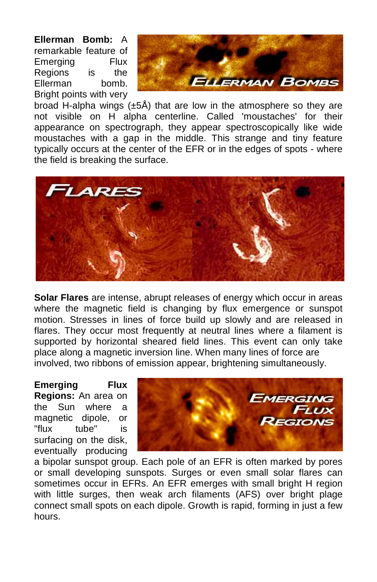**Ellerman Bomb:** A remarkable feature of Emerging Flux Regions is the Ellerman bomb. Bright points with very



broad H-alpha wings (±5Å) that are low in the atmosphere so they are not visible on H alpha centerline. Called 'moustaches' for their appearance on spectrograph, they appear spectroscopically like wide moustaches with a gap in the middle. This strange and tiny feature typically occurs at the center of the EFR or in the edges of spots - where the field is breaking the surface.



**Solar Flares** are intense, abrupt releases of energy which occur in areas where the magnetic field is changing by flux emergence or sunspot motion. Stresses in lines of force build up slowly and are released in flares. They occur most frequently at neutral lines where a filament is supported by horizontal sheared field lines. This event can only take place along a magnetic inversion line. When many lines of force are involved, two ribbons of emission appear, brightening simultaneously.

**Emerging Flux Regions:** An area on the Sun where a magnetic dipole, or "flux tube" is surfacing on the disk, eventually producing



a bipolar sunspot group. Each pole of an EFR is often marked by pores or small developing sunspots. Surges or even small solar flares can sometimes occur in EFRs. An EFR emerges with small bright H region with little surges, then weak arch filaments (AFS) over bright plage connect small spots on each dipole. Growth is rapid, forming in just a few hours.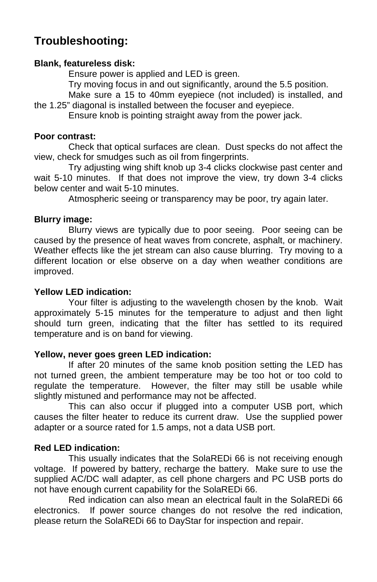## **Troubleshooting:**

#### **Blank, featureless disk:**

Ensure power is applied and LED is green.

Try moving focus in and out significantly, around the 5.5 position.

 Make sure a 15 to 40mm eyepiece (not included) is installed, and the 1.25" diagonal is installed between the focuser and eyepiece.

Ensure knob is pointing straight away from the power jack.

#### **Poor contrast:**

 Check that optical surfaces are clean. Dust specks do not affect the view, check for smudges such as oil from fingerprints.

 Try adjusting wing shift knob up 3-4 clicks clockwise past center and wait 5-10 minutes. If that does not improve the view, try down 3-4 clicks below center and wait 5-10 minutes.

Atmospheric seeing or transparency may be poor, try again later.

#### **Blurry image:**

 Blurry views are typically due to poor seeing. Poor seeing can be caused by the presence of heat waves from concrete, asphalt, or machinery. Weather effects like the jet stream can also cause blurring. Try moving to a different location or else observe on a day when weather conditions are improved.

#### **Yellow LED indication:**

 Your filter is adjusting to the wavelength chosen by the knob. Wait approximately 5-15 minutes for the temperature to adjust and then light should turn green, indicating that the filter has settled to its required temperature and is on band for viewing.

#### **Yellow, never goes green LED indication:**

 If after 20 minutes of the same knob position setting the LED has not turned green, the ambient temperature may be too hot or too cold to regulate the temperature. However, the filter may still be usable while slightly mistuned and performance may not be affected.

 This can also occur if plugged into a computer USB port, which causes the filter heater to reduce its current draw. Use the supplied power adapter or a source rated for 1.5 amps, not a data USB port.

#### **Red LED indication:**

 This usually indicates that the SolaREDi 66 is not receiving enough voltage. If powered by battery, recharge the battery. Make sure to use the supplied AC/DC wall adapter, as cell phone chargers and PC USB ports do not have enough current capability for the SolaREDi 66.

 Red indication can also mean an electrical fault in the SolaREDi 66 electronics. If power source changes do not resolve the red indication, please return the SolaREDi 66 to DayStar for inspection and repair.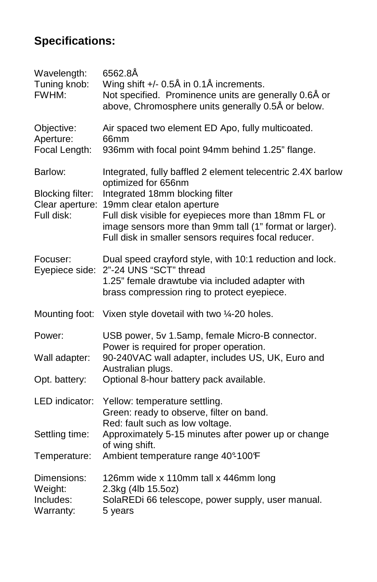# **Specifications:**

| Wavelength:<br>Tuning knob:<br>FWHM:     | 6562.8Å<br>Wing shift +/- 0.5Å in 0.1Å increments.<br>Not specified. Prominence units are generally 0.6Å or<br>above, Chromosphere units generally 0.5Å or below. |
|------------------------------------------|-------------------------------------------------------------------------------------------------------------------------------------------------------------------|
| Objective:<br>Aperture:<br>Focal Length: | Air spaced two element ED Apo, fully multicoated.<br>66mm<br>936mm with focal point 94mm behind 1.25" flange.                                                     |
|                                          |                                                                                                                                                                   |
| Barlow:                                  | Integrated, fully baffled 2 element telecentric 2.4X barlow<br>optimized for 656nm                                                                                |
| <b>Blocking filter:</b>                  | Integrated 18mm blocking filter                                                                                                                                   |
|                                          | Clear aperture: 19mm clear etalon aperture                                                                                                                        |
| Full disk:                               | Full disk visible for eyepieces more than 18mm FL or<br>image sensors more than 9mm tall (1" format or larger).                                                   |
|                                          | Full disk in smaller sensors requires focal reducer.                                                                                                              |
|                                          |                                                                                                                                                                   |
| Focuser:<br>Eyepiece side:               | Dual speed crayford style, with 10:1 reduction and lock.<br>2"-24 UNS "SCT" thread                                                                                |
|                                          | 1.25" female drawtube via included adapter with                                                                                                                   |
|                                          | brass compression ring to protect eyepiece.                                                                                                                       |
| Mounting foot:                           | Vixen style dovetail with two 1/4-20 holes.                                                                                                                       |
| Power:                                   | USB power, 5v 1.5amp, female Micro-B connector.                                                                                                                   |
|                                          | Power is required for proper operation.                                                                                                                           |
| Wall adapter:                            | 90-240VAC wall adapter, includes US, UK, Euro and<br>Australian plugs.                                                                                            |
| Opt. battery:                            | Optional 8-hour battery pack available.                                                                                                                           |
| LED indicator:                           | Yellow: temperature settling.                                                                                                                                     |
|                                          | Green: ready to observe, filter on band.                                                                                                                          |
|                                          | Red: fault such as low voltage.                                                                                                                                   |
| Settling time:                           | Approximately 5-15 minutes after power up or change<br>of wing shift.                                                                                             |
| Temperature:                             | Ambient temperature range 40°-100°F                                                                                                                               |
| Dimensions:                              | 126mm wide x 110mm tall x 446mm long                                                                                                                              |
| Weight:                                  | 2.3kg (4lb 15.5oz)                                                                                                                                                |
| Includes:                                | SolaREDi 66 telescope, power supply, user manual.                                                                                                                 |
| Warranty:                                | 5 years                                                                                                                                                           |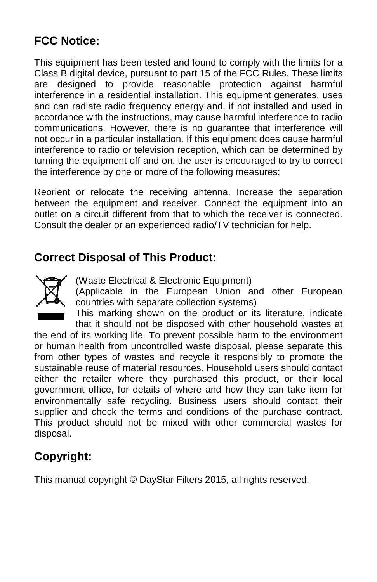# **FCC Notice:**

This equipment has been tested and found to comply with the limits for a Class B digital device, pursuant to part 15 of the FCC Rules. These limits are designed to provide reasonable protection against harmful interference in a residential installation. This equipment generates, uses and can radiate radio frequency energy and, if not installed and used in accordance with the instructions, may cause harmful interference to radio interference in a residential installation. This equipment generates, uses<br>and can radiate radio frequency energy and, if not installed and used in<br>accordance with the instructions, may cause harmful interference to radio<br> not occur in a particular installation. If this equipment does cause harmful interference to radio or television reception, which can be determined by turning the equipment off and on, the user is encouraged to try to correct the interference by one or more of the following measures:

Reorient or relocate the receiving antenna. Increase the separation between the equipment and receiver. Connect the equipment into an outlet on a circuit different from that to which the receiver is connected. Consult the dealer or an experienced radio/TV technician for help.

### **Correct Disposal of This Product:**



(Waste Electrical & Electronic Equipment)

(Applicable in the European Union and other European countries with separate collection systems)

This marking shown on the product or its literature, indicate that it should not be disposed with other household wastes at

the end of its working life. To prevent possible harm to the environment or human health from uncontrolled waste disposal, please se from other types of wastes and recycle it responsibly to promote the sustainable reuse of material resources. Household users should contact either the retailer where they purchased this product, or their local government office, for details of where and how they can take item for environmentally safe recycling. Business users should contact their supplier and check the terms and conditions of the purchase contract. This product should not be mixed with other commercial wastes for disposal. t the dealer or an experienced radio/TV technician for help.<br> **Ct Disposal of This Product:**<br>
(Waste Electrical & Electronic Equipment)<br>
(Applicable in the European Union and other European<br>
countries with separate collect

# **Copyright:**

This manual copyright © DayStar Filters 2015, all rights reserved. ,